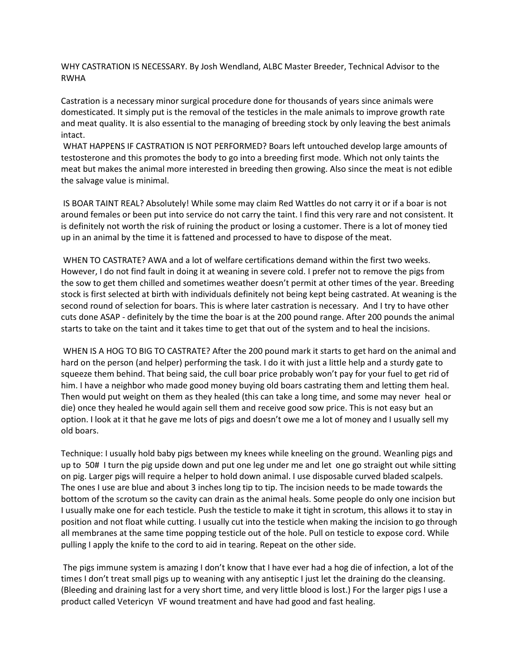WHY CASTRATION IS NECESSARY. By Josh Wendland, ALBC Master Breeder, Technical Advisor to the RWHA

Castration is a necessary minor surgical procedure done for thousands of years since animals were domesticated. It simply put is the removal of the testicles in the male animals to improve growth rate and meat quality. It is also essential to the managing of breeding stock by only leaving the best animals intact.

WHAT HAPPENS IF CASTRATION IS NOT PERFORMED? Boars left untouched develop large amounts of testosterone and this promotes the body to go into a breeding first mode. Which not only taints the meat but makes the animal more interested in breeding then growing. Also since the meat is not edible the salvage value is minimal.

IS BOAR TAINT REAL? Absolutely! While some may claim Red Wattles do not carry it or if a boar is not around females or been put into service do not carry the taint. I find this very rare and not consistent. It is definitely not worth the risk of ruining the product or losing a customer. There is a lot of money tied up in an animal by the time it is fattened and processed to have to dispose of the meat.

WHEN TO CASTRATE? AWA and a lot of welfare certifications demand within the first two weeks. However, I do not find fault in doing it at weaning in severe cold. I prefer not to remove the pigs from the sow to get them chilled and sometimes weather doesn't permit at other times of the year. Breeding stock is first selected at birth with individuals definitely not being kept being castrated. At weaning is the second round of selection for boars. This is where later castration is necessary. And I try to have other cuts done ASAP - definitely by the time the boar is at the 200 pound range. After 200 pounds the animal starts to take on the taint and it takes time to get that out of the system and to heal the incisions.

WHEN IS A HOG TO BIG TO CASTRATE? After the 200 pound mark it starts to get hard on the animal and hard on the person (and helper) performing the task. I do it with just a little help and a sturdy gate to squeeze them behind. That being said, the cull boar price probably won't pay for your fuel to get rid of him. I have a neighbor who made good money buying old boars castrating them and letting them heal. Then would put weight on them as they healed (this can take a long time, and some may never heal or die) once they healed he would again sell them and receive good sow price. This is not easy but an option. I look at it that he gave me lots of pigs and doesn't owe me a lot of money and I usually sell my old boars.

Technique: I usually hold baby pigs between my knees while kneeling on the ground. Weanling pigs and up to 50# I turn the pig upside down and put one leg under me and let one go straight out while sitting on pig. Larger pigs will require a helper to hold down animal. I use disposable curved bladed scalpels. The ones I use are blue and about 3 inches long tip to tip. The incision needs to be made towards the bottom of the scrotum so the cavity can drain as the animal heals. Some people do only one incision but I usually make one for each testicle. Push the testicle to make it tight in scrotum, this allows it to stay in position and not float while cutting. I usually cut into the testicle when making the incision to go through all membranes at the same time popping testicle out of the hole. Pull on testicle to expose cord. While pulling I apply the knife to the cord to aid in tearing. Repeat on the other side.

The pigs immune system is amazing I don't know that I have ever had a hog die of infection, a lot of the times I don't treat small pigs up to weaning with any antiseptic I just let the draining do the cleansing. (Bleeding and draining last for a very short time, and very little blood is lost.) For the larger pigs I use a product called Vetericyn VF wound treatment and have had good and fast healing.